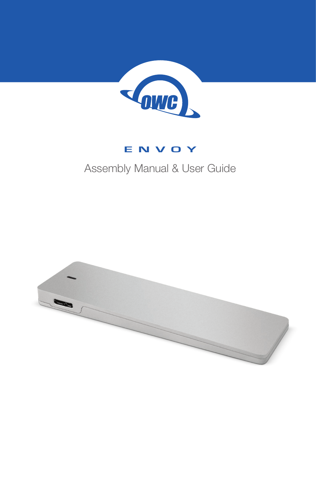

## **ENVOY**

## Assembly Manual & User Guide

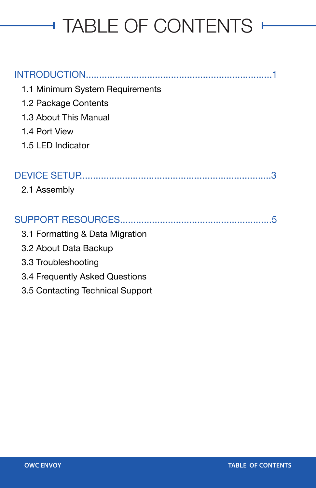# TABLE OF CONTENTS

| 1.1 Minimum System Requirements  |
|----------------------------------|
| 1.2 Package Contents             |
| 1.3 About This Manual            |
| 1.4 Port View                    |
| 1.5 LED Indicator                |
|                                  |
| З                                |
| 2.1 Assembly                     |
|                                  |
| 5                                |
| 3.1 Formatting & Data Migration  |
| 3.2 About Data Backup            |
| 3.3 Troubleshooting              |
| 3.4 Frequently Asked Questions   |
| 3.5 Contacting Technical Support |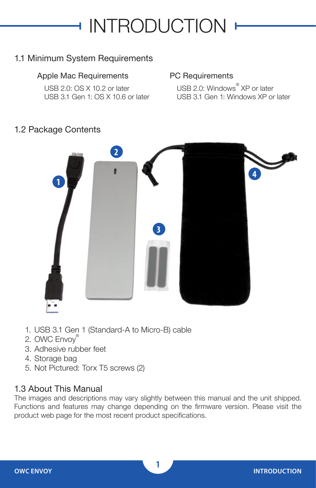## **INTRODUCTION**

### 1.1 Minimum System Requirements

#### Apple Mac Requirements

USB 2.0: OS X 10.2 or later USB 3.1 Gen 1: OS X 10.6 or later

#### PC Requirements

USB 2.0: Windows<sup>®</sup> XP or later USB 3.1 Gen 1: Windows XP or later

#### 1.2 Package Contents



- 1. USB 3.1 Gen 1 (Standard-A to Micro-B) cable
- 2. OWC Envoy®
- 3. Adhesive rubber feet
- 4. Storage bag
- 5. Not Pictured: Torx T5 screws (2)

#### 1.3 About This Manual

The images and descriptions may vary slightly between this manual and the unit shipped. Functions and features may change depending on the firmware version. Please visit the product web page for the most recent product specifications.

**1**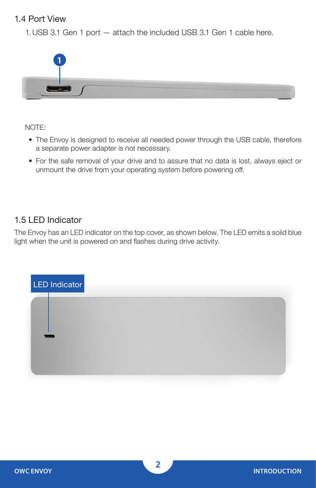### 1.4 Port View

1.USB 3.1 Gen 1 port — attach the included USB 3.1 Gen 1 cable here.



NOTE:

- The Envoy is designed to receive all needed power through the USB cable, therefore a separate power adapter is not necessary.
- For the safe removal of your drive and to assure that no data is lost, always eject or unmount the drive from your operating system before powering off.

#### 1.5 LED Indicator

The Envoy has an LED indicator on the top cover, as shown below. The LED emits a solid blue light when the unit is powered on and flashes during drive activity.

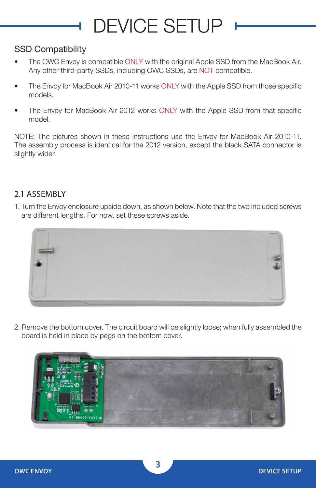## DEVICE SETUP

### SSD Compatibility

- The OWC Envoy is compatible ONLY with the original Apple SSD from the MacBook Air. Any other third-party SSDs, including OWC SSDs, are NOT compatible.
- The Envoy for MacBook Air 2010-11 works ONLY with the Apple SSD from those specific models.
- The Envoy for MacBook Air 2012 works ONLY with the Apple SSD from that specific model.

NOTE: The pictures shown in these instructions use the Envoy for MacBook Air 2010-11. The assembly process is identical for the 2012 version, except the black SATA connector is slightly wider.

### 2.1 ASSEMBLY

1. Turn the Envoy enclosure upside down, as shown below. Note that the two included screws are different lengths. For now, set these screws aside.



2. Remove the bottom cover. The circuit board will be slightly loose; when fully assembled the board is held in place by pegs on the bottom cover.

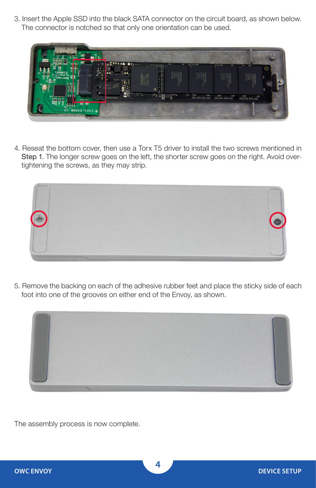3. Insert the Apple SSD into the black SATA connector on the circuit board, as shown below. The connector is notched so that only one orientation can be used.



4. Reseat the bottom cover, then use a Torx T5 driver to install the two screws mentioned in Step 1. The longer screw goes on the left, the shorter screw goes on the right. Avoid overtightening the screws, as they may strip.



5. Remove the backing on each of the adhesive rubber feet and place the sticky side of each foot into one of the grooves on either end of the Envoy, as shown.



The assembly process is now complete.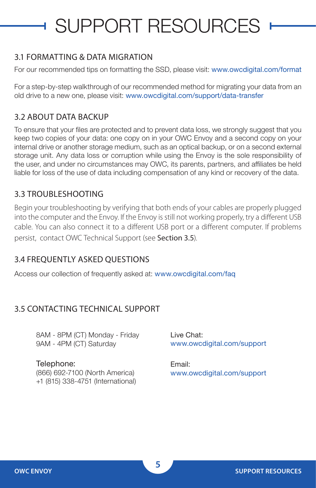# SUPPORT RESOURCES

#### 3.1 FORMATTING & DATA MIGRATION

For our recommended tips on formatting the SSD, please visit: [www.owcdigital.com/format](http://www.owcdigital.com/format)

For a step-by-step walkthrough of our recommended method for migrating your data from an old drive to a new one, please visit: [www.owcdigital.com/support/data-transfer](http://www.owcdigital.com/support/data-transfer)

#### 3.2 ABOUT DATA BACKUP

To ensure that your files are protected and to prevent data loss, we strongly suggest that you keep two copies of your data: one copy on in your OWC Envoy and a second copy on your internal drive or another storage medium, such as an optical backup, or on a second external storage unit. Any data loss or corruption while using the Envoy is the sole responsibility of the user, and under no circumstances may OWC, its parents, partners, and affiliates be held liable for loss of the use of data including compensation of any kind or recovery of the data.

#### 3.3 TROUBLESHOOTING

Begin your troubleshooting by verifying that both ends of your cables are properly plugged into the computer and the Envoy. If the Envoy is still not working properly, try a different USB cable. You can also connect it to a different USB port or a different computer. If problems persist, contact OWC Technical Support (see Section 3.5).

#### 3.4 FREQUENTLY ASKED QUESTIONS

Access our collection of frequently asked at: [www.owcdigital.com/faq](http://www.owcdigital.com/faq)

### 3.5 CONTACTING TECHNICAL SUPPORT

8AM - 8PM (CT) Monday - Friday 9AM - 4PM (CT) Saturday

Telephone: (866) 692-7100 (North America) +1 (815) 338-4751 (International) Live Chat: [www.owcdigital.com/support](http://www.owcdigital.com/support)

Email: [www.owcdigital.com/support](http://www.owcdigital.com/support)